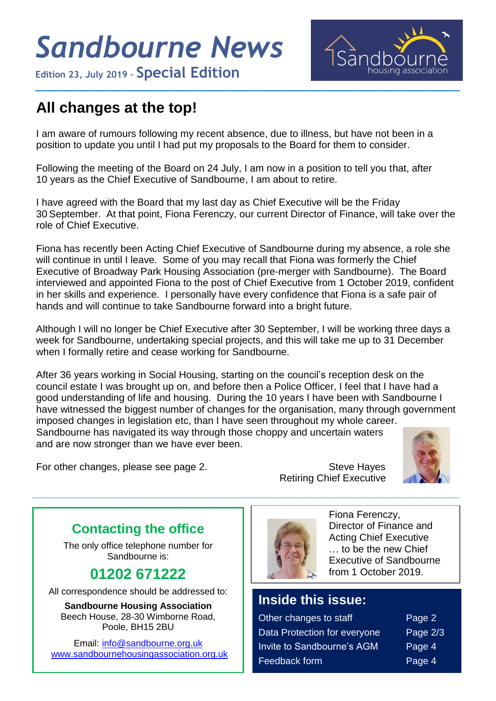# *Sandbourne News*

**Edition 23, July <sup>2019</sup> – Special Edition**



# **All changes at the top!**

I am aware of rumours following my recent absence, due to illness, but have not been in a position to update you until I had put my proposals to the Board for them to consider.

**\_\_\_\_\_\_\_\_\_\_\_\_\_\_\_\_\_\_\_\_\_\_\_\_\_\_\_\_\_\_\_\_\_\_\_\_\_\_\_\_\_\_\_\_\_\_\_\_\_\_\_\_\_\_\_\_\_\_\_\_\_\_\_\_\_\_\_\_\_\_\_\_\_\_\_\_\_\_\_**

Following the meeting of the Board on 24 July, I am now in a position to tell you that, after 10 years as the Chief Executive of Sandbourne, I am about to retire.

I have agreed with the Board that my last day as Chief Executive will be the Friday 30 September. At that point, Fiona Ferenczy, our current Director of Finance, will take over the role of Chief Executive.

Fiona has recently been Acting Chief Executive of Sandbourne during my absence, a role she will continue in until I leave. Some of you may recall that Fiona was formerly the Chief Executive of Broadway Park Housing Association (pre-merger with Sandbourne). The Board interviewed and appointed Fiona to the post of Chief Executive from 1 October 2019, confident in her skills and experience. I personally have every confidence that Fiona is a safe pair of hands and will continue to take Sandbourne forward into a bright future.

Although I will no longer be Chief Executive after 30 September, I will be working three days a week for Sandbourne, undertaking special projects, and this will take me up to 31 December when I formally retire and cease working for Sandbourne.

After 36 years working in Social Housing, starting on the council's reception desk on the council estate I was brought up on, and before then a Police Officer, I feel that I have had a good understanding of life and housing. During the 10 years I have been with Sandbourne I have witnessed the biggest number of changes for the organisation, many through government imposed changes in legislation etc, than I have seen throughout my whole career. Sandbourne has navigated its way through those choppy and uncertain waters

**\_\_\_\_\_\_\_\_\_\_\_\_\_\_\_\_\_\_\_\_\_\_\_\_\_\_\_\_\_\_\_\_\_\_\_\_\_\_\_\_\_\_\_\_\_\_\_\_\_\_\_\_\_\_\_\_\_\_\_\_\_\_\_\_\_\_\_\_\_\_\_\_\_\_\_\_\_**

For other changes, please see page 2. Steve Hayes

**\_\_\_\_\_** 

Retiring Chief Executive



#### **Contacting the office**

and are now stronger than we have ever been.

The only office telephone number for Sandbourne is:

# **01202 671222**

All correspondence should be addressed to:

**Sandbourne Housing Association** Beech House, 28-30 Wimborne Road, Poole, BH15 2BU

Email: [info@sandbourne.org.uk](mailto:info@sandbourne.org.uk) [www.sandbournehousingassociation.org.uk](http://www.sandbournehousingassociation.org.uk/)



Fiona Ferenczy, Director of Finance and Acting Chief Executive … to be the new Chief Executive of Sandbourne from 1 October 2019.

### **Inside this issue:**

| Other changes to staff            | Page 2   |
|-----------------------------------|----------|
| Data Protection for everyone      | Page 2/3 |
| <b>Invite to Sandbourne's AGM</b> | Page 4   |
| Feedback form                     | Page 4   |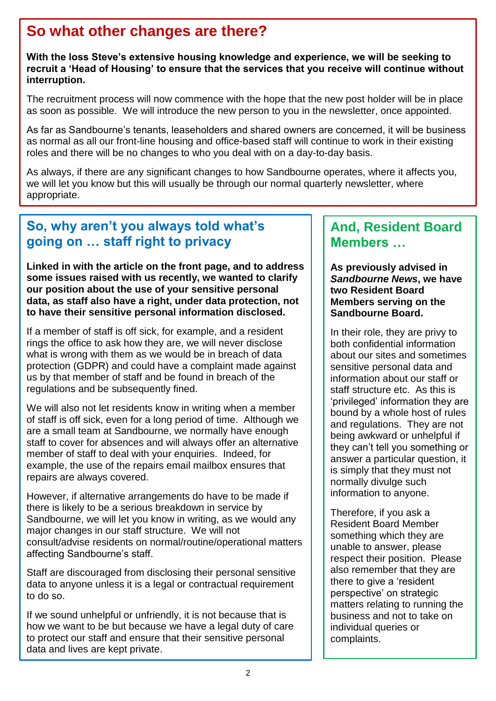## **So what other changes are there?**

**With the loss Steve's extensive housing knowledge and experience, we will be seeking to recruit a 'Head of Housing' to ensure that the services that you receive will continue without interruption.** 

The recruitment process will now commence with the hope that the new post holder will be in place as soon as possible. We will introduce the new person to you in the newsletter, once appointed.

As far as Sandbourne's tenants, leaseholders and shared owners are concerned, it will be business as normal as all our front-line housing and office-based staff will continue to work in their existing roles and there will be no changes to who you deal with on a day-to-day basis.

As always, if there are any significant changes to how Sandbourne operates, where it affects you, we will let you know but this will usually be through our normal quarterly newsletter, where appropriate.

#### **So, why aren't you always told what's going on … staff right to privacy**

**Linked in with the article on the front page, and to address some issues raised with us recently, we wanted to clarify our position about the use of your sensitive personal data, as staff also have a right, under data protection, not to have their sensitive personal information disclosed.**

If a member of staff is off sick, for example, and a resident rings the office to ask how they are, we will never disclose what is wrong with them as we would be in breach of data protection (GDPR) and could have a complaint made against us by that member of staff and be found in breach of the regulations and be subsequently fined.

We will also not let residents know in writing when a member of staff is off sick, even for a long period of time. Although we are a small team at Sandbourne, we normally have enough staff to cover for absences and will always offer an alternative member of staff to deal with your enquiries. Indeed, for example, the use of the repairs email mailbox ensures that repairs are always covered.

However, if alternative arrangements do have to be made if there is likely to be a serious breakdown in service by Sandbourne, we will let you know in writing, as we would any major changes in our staff structure. We will not consult/advise residents on normal/routine/operational matters affecting Sandbourne's staff.

Staff are discouraged from disclosing their personal sensitive data to anyone unless it is a legal or contractual requirement to do so.

If we sound unhelpful or unfriendly, it is not because that is how we want to be but because we have a legal duty of care to protect our staff and ensure that their sensitive personal data and lives are kept private.

#### **And, Resident Board Members …**

**As previously advised in**  *Sandbourne News***, we have two Resident Board Members serving on the Sandbourne Board.**

In their role, they are privy to both confidential information about our sites and sometimes sensitive personal data and information about our staff or staff structure etc. As this is 'privileged' information they are bound by a whole host of rules and regulations. They are not being awkward or unhelpful if they can't tell you something or answer a particular question, it is simply that they must not normally divulge such information to anyone.

Therefore, if you ask a Resident Board Member something which they are unable to answer, please respect their position. Please also remember that they are there to give a 'resident perspective' on strategic matters relating to running the business and not to take on individual queries or complaints.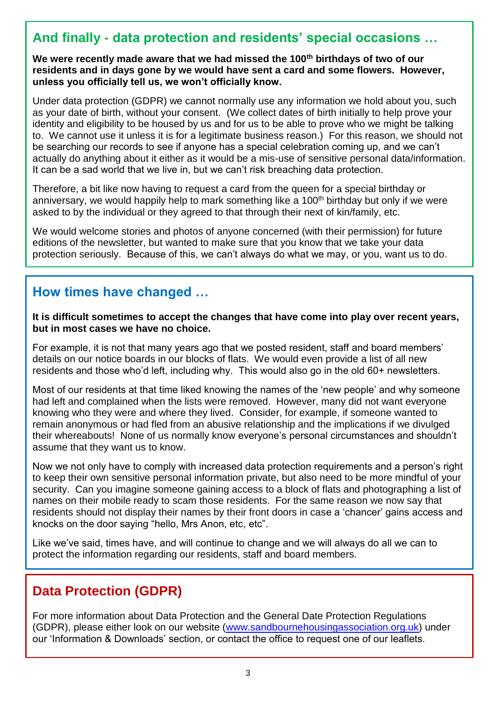#### **And finally - data protection and residents' special occasions …**

**We were recently made aware that we had missed the 100th birthdays of two of our residents and in days gone by we would have sent a card and some flowers. However, unless you officially tell us, we won't officially know.**

Under data protection (GDPR) we cannot normally use any information we hold about you, such as your date of birth, without your consent. (We collect dates of birth initially to help prove your identity and eligibility to be housed by us and for us to be able to prove who we might be talking to. We cannot use it unless it is for a legitimate business reason.) For this reason, we should not be searching our records to see if anyone has a special celebration coming up, and we can't actually do anything about it either as it would be a mis-use of sensitive personal data/information. It can be a sad world that we live in, but we can't risk breaching data protection.

Therefore, a bit like now having to request a card from the queen for a special birthday or anniversary, we would happily help to mark something like a 100<sup>th</sup> birthday but only if we were asked to by the individual or they agreed to that through their next of kin/family, etc.

We would welcome stories and photos of anyone concerned (with their permission) for future editions of the newsletter, but wanted to make sure that you know that we take your data protection seriously. Because of this, we can't always do what we may, or you, want us to do.

#### **How times have changed …**

**It is difficult sometimes to accept the changes that have come into play over recent years, but in most cases we have no choice.**

For example, it is not that many years ago that we posted resident, staff and board members' details on our notice boards in our blocks of flats. We would even provide a list of all new residents and those who'd left, including why. This would also go in the old 60+ newsletters.

Most of our residents at that time liked knowing the names of the 'new people' and why someone had left and complained when the lists were removed. However, many did not want everyone knowing who they were and where they lived. Consider, for example, if someone wanted to remain anonymous or had fled from an abusive relationship and the implications if we divulged their whereabouts! None of us normally know everyone's personal circumstances and shouldn't assume that they want us to know.

Now we not only have to comply with increased data protection requirements and a person's right to keep their own sensitive personal information private, but also need to be more mindful of your security. Can you imagine someone gaining access to a block of flats and photographing a list of names on their mobile ready to scam those residents. For the same reason we now say that residents should not display their names by their front doors in case a 'chancer' gains access and knocks on the door saying "hello, Mrs Anon, etc, etc".

Like we've said, times have, and will continue to change and we will always do all we can to protect the information regarding our residents, staff and board members.

#### **Data Protection (GDPR)**

For more information about Data Protection and the General Date Protection Regulations (GDPR), please either look on our website [\(www.sandbournehousingassociation.org.uk\)](http://www.sandbournehousingassociation.org.uk/) under our 'Information & Downloads' section, or contact the office to request one of our leaflets.